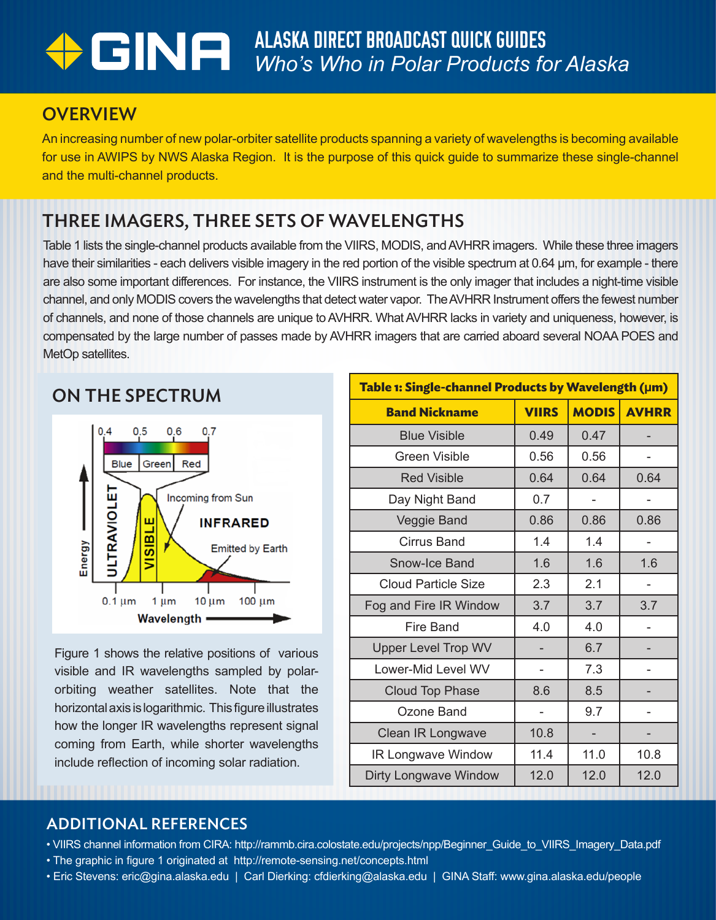# ALASKA DIRECT BROADCAST QUICK GUIDES *Who's Who in Polar Products for Alaska*

### **OVERVIEW**

An increasing number of new polar-orbiter satellite products spanning a variety of wavelengths is becoming available for use in AWIPS by NWS Alaska Region. It is the purpose of this quick guide to summarize these single-channel and the multi-channel products.

# THREE IMAGERS, THREE SETS OF WAVELENGTHS

Table 1 lists the single-channel products available from the VIIRS, MODIS, and AVHRR imagers. While these three imagers have their similarities - each delivers visible imagery in the red portion of the visible spectrum at 0.64 µm, for example - there are also some important differences. For instance, the VIIRS instrument is the only imager that includes a night-time visible channel, and only MODIS covers the wavelengths that detect water vapor. The AVHRR Instrument offers the fewest number of channels, and none of those channels are unique to AVHRR. What AVHRR lacks in variety and uniqueness, however, is compensated by the large number of passes made by AVHRR imagers that are carried aboard several NOAA POES and MetOp satellites.

#### ON THE SPECTRUM



Figure 1 shows the relative positions of various visible and IR wavelengths sampled by polarorbiting weather satellites. Note that the horizontal axis is logarithmic. This figure illustrates how the longer IR wavelengths represent signal coming from Earth, while shorter wavelengths include reflection of incoming solar radiation.

| Table 1: Single-channel Products by Wavelength (µm) |              |              |              |  |  |
|-----------------------------------------------------|--------------|--------------|--------------|--|--|
| <b>Band Nickname</b>                                | <b>VIIRS</b> | <b>MODIS</b> | <b>AVHRR</b> |  |  |
| <b>Blue Visible</b>                                 | 0.49         | 0.47         |              |  |  |
| <b>Green Visible</b>                                | 0.56         | 0.56         |              |  |  |
| <b>Red Visible</b>                                  | 0.64         | 0.64         | 0.64         |  |  |
| Day Night Band                                      | 0.7          |              |              |  |  |
| Veggie Band                                         | 0.86         | 0.86         | 0.86         |  |  |
| <b>Cirrus Band</b>                                  | 1.4          | 1.4          |              |  |  |
| Snow-Ice Band                                       | 1.6          | 1.6          | 1.6          |  |  |
| <b>Cloud Particle Size</b>                          | 2.3          | 2.1          |              |  |  |
| Fog and Fire IR Window                              | 3.7          | 3.7          | 3.7          |  |  |
| Fire Band                                           | 4.0          | 4.0          |              |  |  |
| <b>Upper Level Trop WV</b>                          |              | 6.7          |              |  |  |
| Lower-Mid Level WV                                  |              | 7.3          |              |  |  |
| <b>Cloud Top Phase</b>                              | 8.6          | 8.5          |              |  |  |
| Ozone Band                                          |              | 9.7          |              |  |  |
| Clean IR Longwave                                   | 10.8         |              |              |  |  |
| <b>IR Longwave Window</b>                           | 11.4         | 11.0         | 10.8         |  |  |
| <b>Dirty Longwave Window</b>                        | 12.0         | 12.0         | 12.0         |  |  |

#### ADDITIONAL REFERENCES

- VIIRS channel information from CIRA: http://rammb.cira.colostate.edu/projects/npp/Beginner\_Guide\_to\_VIIRS\_Imagery\_Data.pdf
- The graphic in figure 1 originated at http://remote-sensing.net/concepts.html
- Eric Stevens: eric@gina.alaska.edu | Carl Dierking: cfdierking@alaska.edu | GINA Staff: www.gina.alaska.edu/people